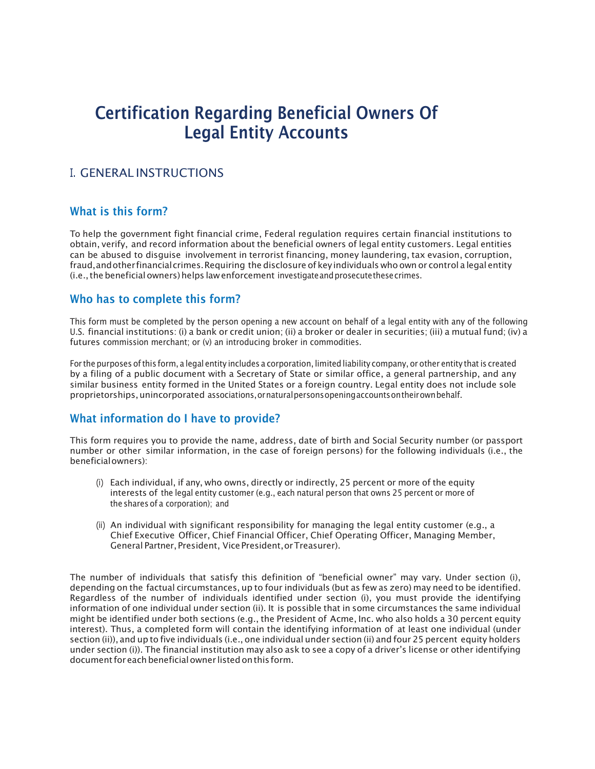# Certification Regarding Beneficial Owners Of Legal Entity Accounts

### I. GENERAL INSTRUCTIONS

#### What is this form?

To help the government fight financial crime, Federal regulation requires certain financial institutions to obtain, verify, and record information about the beneficial owners of legal entity customers. Legal entities can be abused to disguise involvement in terrorist financing, money laundering, tax evasion, corruption, fraud,andotherfinancialcrimes.Requiring the disclosure of key individuals who own or control a legal entity (i.e., the beneficial owners) helps law enforcement investigate and prosecute these crimes.

#### Who has to complete this form?

This form must be completed by the person opening a new account on behalf of a legal entity with any of the following U.S. financial institutions: (i) a bank or credit union; (ii) a broker or dealer in securities; (iii) a mutual fund; (iv) a futures commission merchant; or (v) an introducing broker in commodities.

For the purposes of this form, a legal entity includes a corporation, limited liability company, or other entity that is created by a filing of a public document with a Secretary of State or similar office, a general partnership, and any similar business entity formed in the United States or a foreign country. Legal entity does not include sole proprietorships,unincorporated associations,ornaturalpersonsopeningaccountsontheirownbehalf.

#### What information do I have to provide?

This form requires you to provide the name, address, date of birth and Social Security number (or passport number or other similar information, in the case of foreign persons) for the following individuals (i.e., the beneficialowners):

- (i) Each individual, if any, who owns, directly or indirectly, 25 percent or more of the equity interests of the legal entity customer (e.g., each natural person that owns 25 percent or more of the shares of a corporation); and
- (ii) An individual with significant responsibility for managing the legal entity customer (e.g., a Chief Executive Officer, Chief Financial Officer, Chief Operating Officer, Managing Member, General Partner, President, VicePresident,orTreasurer).

The number of individuals that satisfy this definition of "beneficial owner" may vary. Under section (i), depending on the factual circumstances, up to four individuals (but as few as zero) may need to be identified. Regardless of the number of individuals identified under section (i), you must provide the identifying information of one individual under section (ii). It is possible that in some circumstances the same individual might be identified under both sections (e.g., the President of Acme, Inc. who also holds a 30 percent equity interest). Thus, a completed form will contain the identifying information of at least one individual (under section (ii)), and up to five individuals (i.e., one individual under section (ii) and four 25 percent equity holders under section (i)). The financial institution may also ask to see a copy of a driver's license or other identifying documentforeachbeneficialowner listedonthis form.